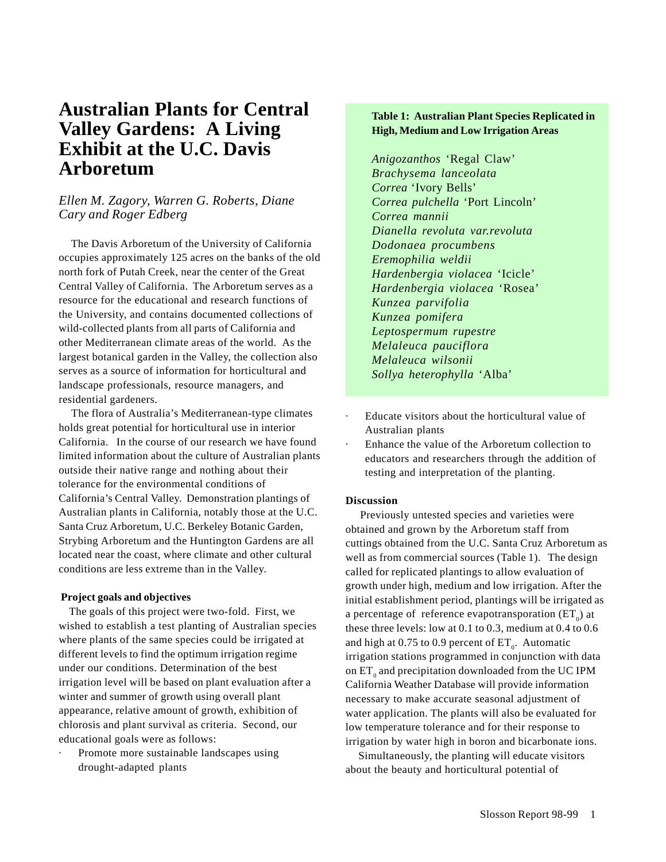# **Australian Plants for Central Valley Gardens: A Living Exhibit at the U.C. Davis Arboretum**

# *Ellen M. Zagory, Warren G. Roberts, Diane Cary and Roger Edberg*

The Davis Arboretum of the University of California occupies approximately 125 acres on the banks of the old north fork of Putah Creek, near the center of the Great Central Valley of California. The Arboretum serves as a resource for the educational and research functions of the University, and contains documented collections of wild-collected plants from all parts of California and other Mediterranean climate areas of the world. As the largest botanical garden in the Valley, the collection also serves as a source of information for horticultural and landscape professionals, resource managers, and residential gardeners.

 The flora of Australia's Mediterranean-type climates holds great potential for horticultural use in interior California. In the course of our research we have found limited information about the culture of Australian plants outside their native range and nothing about their tolerance for the environmental conditions of California's Central Valley. Demonstration plantings of Australian plants in California, notably those at the U.C. Santa Cruz Arboretum, U.C. Berkeley Botanic Garden, Strybing Arboretum and the Huntington Gardens are all located near the coast, where climate and other cultural conditions are less extreme than in the Valley.

#### **Project goals and objectives**

 The goals of this project were two-fold. First, we wished to establish a test planting of Australian species where plants of the same species could be irrigated at different levels to find the optimum irrigation regime under our conditions. Determination of the best irrigation level will be based on plant evaluation after a winter and summer of growth using overall plant appearance, relative amount of growth, exhibition of chlorosis and plant survival as criteria. Second, our educational goals were as follows:

Promote more sustainable landscapes using drought-adapted plants

## **Table 1: Australian Plant Species Replicated in High, Medium and Low Irrigation Areas**

*Anigozanthos* 'Regal Claw' *Brachysema lanceolata Correa* 'Ivory Bells' *Correa pulchella* 'Port Lincoln' *Correa mannii Dianella revoluta var.revoluta Dodonaea procumbens Eremophilia weldii Hardenbergia violacea* 'Icicle' *Hardenbergia violacea* 'Rosea' *Kunzea parvifolia Kunzea pomifera Leptospermum rupestre Melaleuca pauciflora Melaleuca wilsonii Sollya heterophylla* 'Alba'

- Educate visitors about the horticultural value of Australian plants
- Enhance the value of the Arboretum collection to educators and researchers through the addition of testing and interpretation of the planting.

#### **Discussion**

 Previously untested species and varieties were obtained and grown by the Arboretum staff from cuttings obtained from the U.C. Santa Cruz Arboretum as well as from commercial sources (Table 1). The design called for replicated plantings to allow evaluation of growth under high, medium and low irrigation. After the initial establishment period, plantings will be irrigated as a percentage of reference evapotransporation  $(ET_0)$  at these three levels: low at 0.1 to 0.3, medium at 0.4 to 0.6 and high at  $0.75$  to  $0.9$  percent of  $ET_{0}$ . Automatic irrigation stations programmed in conjunction with data on  $ET_0$  and precipitation downloaded from the UC IPM California Weather Database will provide information necessary to make accurate seasonal adjustment of water application. The plants will also be evaluated for low temperature tolerance and for their response to irrigation by water high in boron and bicarbonate ions.

 Simultaneously, the planting will educate visitors about the beauty and horticultural potential of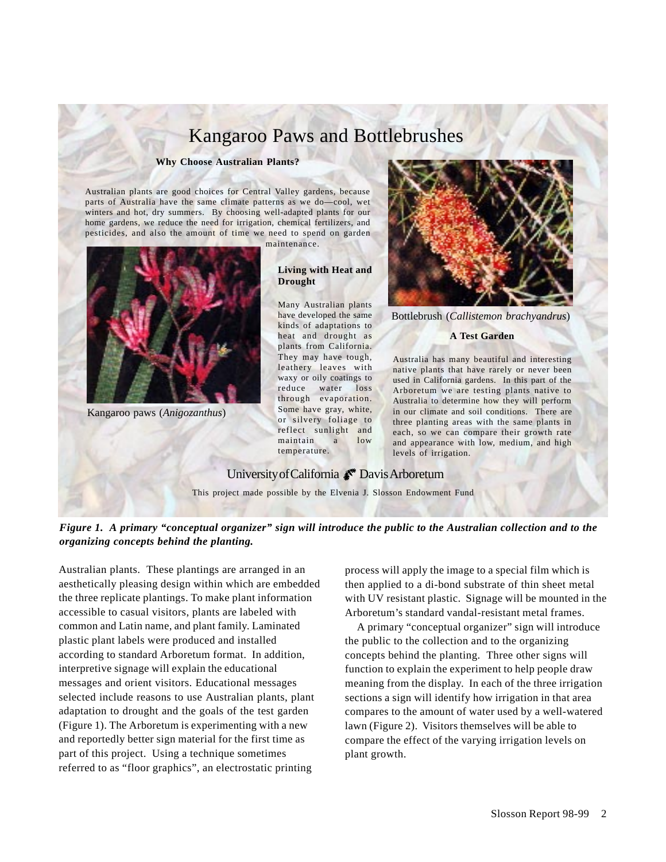# Kangaroo Paws and Bottlebrushes

#### **Why Choose Australian Plants?**

Australian plants are good choices for Central Valley gardens, because parts of Australia have the same climate patterns as we do—cool, wet winters and hot, dry summers. By choosing well-adapted plants for our home gardens, we reduce the need for irrigation, chemical fertilizers, and pesticides, and also the amount of time we need to spend on garden

maintenance.



Kangaroo paws (*Anigozanthus*)

#### **Living with Heat and Drought**

Many Australian plants have developed the same kinds of adaptations to heat and drought as plants from California. They may have tough, leathery leaves with waxy or oily coatings to reduce water loss through evaporation. Some have gray, white, or silvery foliage to reflect sunlight and maintain a low temperature.



Bottlebrush (*Callistemon brachyandrus*)

#### **A Test Garden**

Australia has many beautiful and interesting native plants that have rarely or never been used in California gardens. In this part of the Arboretum we are testing plants native to Australia to determine how they will perform in our climate and soil conditions. There are three planting areas with the same plants in each, so we can compare their growth rate and appearance with low, medium, and high levels of irrigation.

## University of California  $\bullet$  Davis Arboretum

This project made possible by the Elvenia J. Slosson Endowment Fund

*Figure 1. A primary "conceptual organizer" sign will introduce the public to the Australian collection and to the organizing concepts behind the planting.*

Australian plants. These plantings are arranged in an aesthetically pleasing design within which are embedded the three replicate plantings. To make plant information accessible to casual visitors, plants are labeled with common and Latin name, and plant family. Laminated plastic plant labels were produced and installed according to standard Arboretum format. In addition, interpretive signage will explain the educational messages and orient visitors. Educational messages selected include reasons to use Australian plants, plant adaptation to drought and the goals of the test garden (Figure 1). The Arboretum is experimenting with a new and reportedly better sign material for the first time as part of this project. Using a technique sometimes referred to as "floor graphics", an electrostatic printing

process will apply the image to a special film which is then applied to a di-bond substrate of thin sheet metal with UV resistant plastic. Signage will be mounted in the Arboretum's standard vandal-resistant metal frames.

 A primary "conceptual organizer" sign will introduce the public to the collection and to the organizing concepts behind the planting. Three other signs will function to explain the experiment to help people draw meaning from the display. In each of the three irrigation sections a sign will identify how irrigation in that area compares to the amount of water used by a well-watered lawn (Figure 2). Visitors themselves will be able to compare the effect of the varying irrigation levels on plant growth.